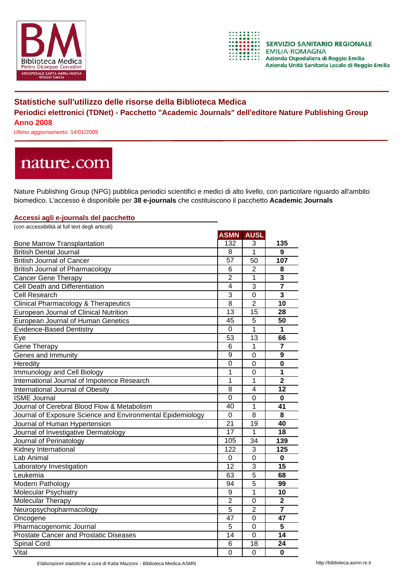



## **Statistiche sull'utilizzo delle risorse della Biblioteca Medica Periodici elettronici (TDNet) - Pacchetto "Academic Journals" dell'editore Nature Publishing Group Anno 2008**

Ultimo aggiornamento: 14/01/2009

# nature.com

Nature Publishing Group (NPG) pubblica periodici scientifici e medici di alto livello, con particolare riguardo all'ambito biomedico. L'accesso è disponibile per **38 e-journals** che costituiscono il pacchetto **Academic Journals**

#### **Accessi agli e-journals del pacchetto**

| (con accessibilità al full text degli articoli)            |                 |                |                         |
|------------------------------------------------------------|-----------------|----------------|-------------------------|
|                                                            | <b>ASMN</b>     | <b>AUSL</b>    |                         |
| <b>Bone Marrow Transplantation</b>                         | 132             | 3              | 135                     |
| <b>British Dental Journal</b>                              | 8               | 1              | $\overline{9}$          |
| <b>British Journal of Cancer</b>                           | 57              | 50             | 107                     |
| <b>British Journal of Pharmacology</b>                     | 6               | $\overline{2}$ | 8                       |
| <b>Cancer Gene Therapy</b>                                 | $\overline{2}$  | 1              | 3                       |
| Cell Death and Differentiation                             | 4               | 3              | $\overline{\mathbf{7}}$ |
| <b>Cell Research</b>                                       | $\overline{3}$  | $\overline{0}$ | 3                       |
| <b>Clinical Pharmacology &amp; Therapeutics</b>            | 8               | $\overline{2}$ | 10                      |
| European Journal of Clinical Nutrition                     | 13              | 15             | 28                      |
| European Journal of Human Genetics                         | 45              | 5              | 50                      |
| <b>Evidence-Based Dentistry</b>                            | 0               | $\overline{1}$ | $\mathbf{1}$            |
| Eye                                                        | 53              | 13             | 66                      |
| Gene Therapy                                               | 6               | 1              | 7                       |
| Genes and Immunity                                         | 9               | $\overline{0}$ | 9                       |
| Heredity                                                   | $\mathbf 0$     | $\overline{0}$ | $\bf{0}$                |
| Immunology and Cell Biology                                | 1               | 0              | 1                       |
| International Journal of Impotence Research                | $\overline{1}$  | $\mathbf{1}$   | $\overline{2}$          |
| International Journal of Obesity                           | $\overline{8}$  | $\overline{4}$ | 12                      |
| <b>ISME Journal</b>                                        | $\overline{0}$  | $\overline{0}$ | $\mathbf 0$             |
| Journal of Cerebral Blood Flow & Metabolism                | 40              | 1              | 41                      |
| Journal of Exposure Science and Environmental Epidemiology | $\overline{0}$  | $\overline{8}$ | 8                       |
| Journal of Human Hypertension                              | $\overline{21}$ | 19             | 40                      |
| Journal of Investigative Dermatology                       | $\overline{17}$ | 1              | 18                      |
| Journal of Perinatology                                    | 105             | 34             | 139                     |
| Kidney International                                       | 122             | 3              | 125                     |
| Lab Animal                                                 | $\mathbf 0$     | $\overline{0}$ | 0                       |
| Laboratory Investigation                                   | 12              | 3              | 15                      |
| Leukemia                                                   | 63              | 5              | 68                      |
| Modern Pathology                                           | 94              | $\overline{5}$ | 99                      |
| <b>Molecular Psychiatry</b>                                | 9               | $\overline{1}$ | 10                      |
| Molecular Therapy                                          | $\overline{2}$  | $\overline{0}$ | $\overline{\mathbf{2}}$ |
| Neuropsychopharmacology                                    | 5               | $\overline{2}$ | $\overline{7}$          |
| Oncogene                                                   | $\overline{47}$ | $\overline{0}$ | 47                      |
| Pharmacogenomic Journal                                    | 5               | $\overline{0}$ | 5                       |
| <b>Prostate Cancer and Prostatic Diseases</b>              | 14              | $\overline{0}$ | 14                      |
| Spinal Cord                                                | 6               | 18             | 24                      |
| Vital                                                      | $\mathbf 0$     | 0              | 0                       |

*Elaborazioni statistiche a cura di Katia Mazzoni* - Biblioteca Medica ASMN http://biblioteca.asmn.re.it